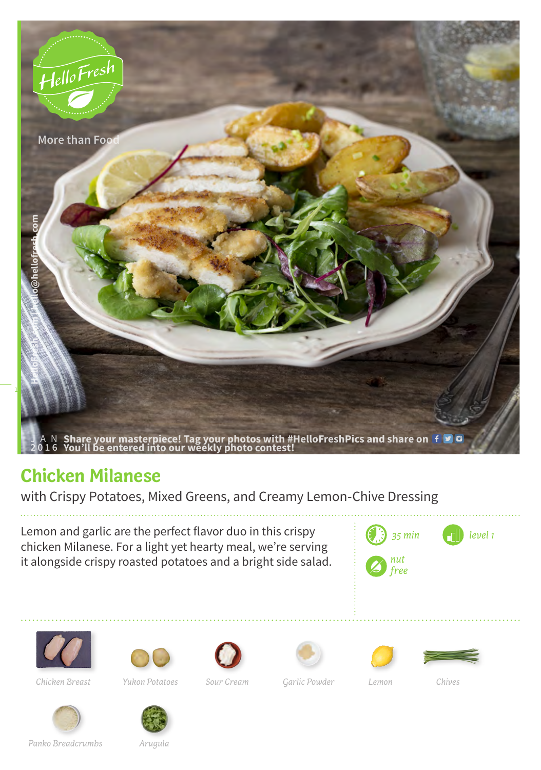

## **Chicken Milanese**

with Crispy Potatoes, Mixed Greens, and Creamy Lemon-Chive Dressing

Lemon and garlic are the perfect flavor duo in this crispy chicken Milanese. For a light yet hearty meal, we're serving it alongside crispy roasted potatoes and a bright side salad.





*Yukon Potatoes Sour Cream Garlic Powder Chives Chicken Breast Lemon*











*Panko Breadcrumbs*